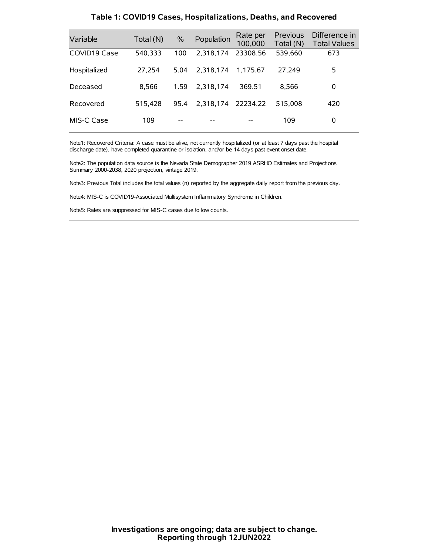| Variable     | Total (N) | $\%$ | Population         | Rate per<br>100,000 | Previous<br>Total (N) | Difference in<br><b>Total Values</b> |
|--------------|-----------|------|--------------------|---------------------|-----------------------|--------------------------------------|
| COVID19 Case | 540,333   | 100  | 2,318,174          | 23308.56            | 539,660               | 673                                  |
| Hospitalized | 27,254    | 5.04 | 2.318.174          | 1.175.67            | 27.249                | 5                                    |
| Deceased     | 8.566     | 1.59 | 2.318.174          | 369.51              | 8.566                 | 0                                    |
| Recovered    | 515.428   | 95.4 | 2,318,174 22234.22 |                     | 515,008               | 420                                  |
| MIS-C Case   | 109       | --   |                    |                     | 109                   | 0                                    |

#### **Table 1: COVID19 Cases, Hospitalizations, Deaths, and Recovered**

Note1: Recovered Criteria: A case must be alive, not currently hospitalized (or at least 7 days past the hospital discharge date), have completed quarantine or isolation, and/or be 14 days past event onset date.

Note2: The population data source is the Nevada State Demographer 2019 ASRHO Estimates and Projections Summary 2000-2038, 2020 projection, vintage 2019.

Note3: Previous Total includes the total values (n) reported by the aggregate daily report from the previous day.

Note4: MIS-C is COVID19-Associated Multisystem Inflammatory Syndrome in Children.

Note5: Rates are suppressed for MIS-C cases due to low counts.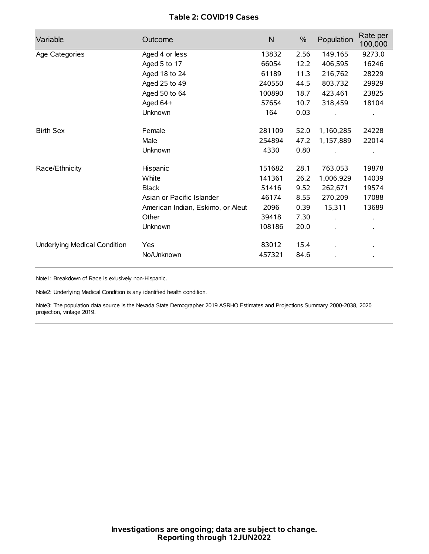# **Table 2: COVID19 Cases**

| Variable                     | Outcome                           | $\mathsf{N}$ | $\%$ | Population | Rate per<br>100,000 |
|------------------------------|-----------------------------------|--------------|------|------------|---------------------|
| Age Categories               | Aged 4 or less                    | 13832        | 2.56 | 149,165    | 9273.0              |
|                              | Aged 5 to 17                      | 66054        | 12.2 | 406,595    | 16246               |
|                              | Aged 18 to 24                     | 61189        | 11.3 | 216,762    | 28229               |
|                              | Aged 25 to 49                     | 240550       | 44.5 | 803,732    | 29929               |
|                              | Aged 50 to 64                     | 100890       | 18.7 | 423,461    | 23825               |
|                              | Aged 64+                          | 57654        | 10.7 | 318,459    | 18104               |
|                              | Unknown                           | 164          | 0.03 |            |                     |
| <b>Birth Sex</b>             | Female                            | 281109       | 52.0 | 1,160,285  | 24228               |
|                              | Male                              | 254894       | 47.2 | 1,157,889  | 22014               |
|                              | Unknown                           | 4330         | 0.80 |            |                     |
| Race/Ethnicity               | Hispanic                          | 151682       | 28.1 | 763,053    | 19878               |
|                              | White                             | 141361       | 26.2 | 1,006,929  | 14039               |
|                              | <b>Black</b>                      | 51416        | 9.52 | 262,671    | 19574               |
|                              | Asian or Pacific Islander         | 46174        | 8.55 | 270,209    | 17088               |
|                              | American Indian, Eskimo, or Aleut | 2096         | 0.39 | 15,311     | 13689               |
|                              | Other                             | 39418        | 7.30 |            |                     |
|                              | Unknown                           | 108186       | 20.0 |            |                     |
| Underlying Medical Condition | Yes                               | 83012        | 15.4 |            |                     |
|                              | No/Unknown                        | 457321       | 84.6 |            |                     |

Note1: Breakdown of Race is exlusively non-Hispanic.

Note2: Underlying Medical Condition is any identified health condition.

Note3: The population data source is the Nevada State Demographer 2019 ASRHO Estimates and Projections Summary 2000-2038, 2020 projection, vintage 2019.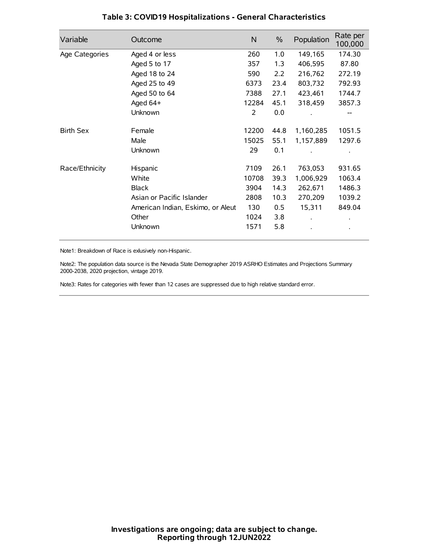| Variable         | Outcome                           | $\mathsf{N}$ | $\%$ | Population | Rate per<br>100,000 |
|------------------|-----------------------------------|--------------|------|------------|---------------------|
| Age Categories   | Aged 4 or less                    | 260          | 1.0  | 149,165    | 174.30              |
|                  | Aged 5 to 17                      | 357          | 1.3  | 406,595    | 87.80               |
|                  | Aged 18 to 24                     | 590          | 2.2  | 216,762    | 272.19              |
|                  | Aged 25 to 49                     | 6373         | 23.4 | 803,732    | 792.93              |
|                  | Aged 50 to 64                     | 7388         | 27.1 | 423,461    | 1744.7              |
|                  | Aged $64+$                        | 12284        | 45.1 | 318,459    | 3857.3              |
|                  | Unknown                           | 2            | 0.0  |            |                     |
| <b>Birth Sex</b> | Female                            | 12200        | 44.8 | 1,160,285  | 1051.5              |
|                  | Male                              | 15025        | 55.1 | 1,157,889  | 1297.6              |
|                  | Unknown                           | 29           | 0.1  |            |                     |
| Race/Ethnicity   | Hispanic                          | 7109         | 26.1 | 763,053    | 931.65              |
|                  | White                             | 10708        | 39.3 | 1,006,929  | 1063.4              |
|                  | <b>Black</b>                      | 3904         | 14.3 | 262,671    | 1486.3              |
|                  | Asian or Pacific Islander         | 2808         | 10.3 | 270,209    | 1039.2              |
|                  | American Indian, Eskimo, or Aleut | 130          | 0.5  | 15,311     | 849.04              |
|                  | Other                             | 1024         | 3.8  |            |                     |
|                  | Unknown                           | 1571         | 5.8  |            |                     |

# **Table 3: COVID19 Hospitalizations - General Characteristics**

Note1: Breakdown of Race is exlusively non-Hispanic.

Note2: The population data source is the Nevada State Demographer 2019 ASRHO Estimates and Projections Summary 2000-2038, 2020 projection, vintage 2019.

Note3: Rates for categories with fewer than 12 cases are suppressed due to high relative standard error.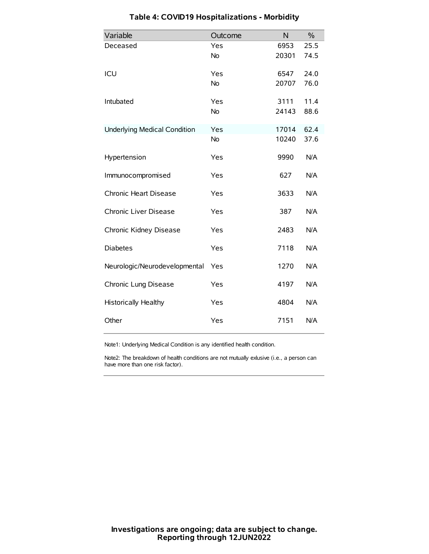| Variable                            | Outcome   | N     | $\frac{0}{0}$ |
|-------------------------------------|-----------|-------|---------------|
| Deceased                            | Yes       | 6953  | 25.5          |
|                                     | No        | 20301 | 74.5          |
| ICU                                 | Yes       | 6547  | 24.0          |
|                                     | <b>No</b> | 20707 | 76.0          |
| Intubated                           | Yes       | 3111  | 11.4          |
|                                     | No        | 24143 | 88.6          |
| <b>Underlying Medical Condition</b> | Yes       | 17014 | 62.4          |
|                                     | <b>No</b> | 10240 | 37.6          |
| Hypertension                        | Yes       | 9990  | N/A           |
| Immunocompromised                   | Yes       | 627   | N/A           |
| Chronic Heart Disease               | Yes       | 3633  | N/A           |
| Chronic Liver Disease               | Yes       | 387   | N/A           |
| Chronic Kidney Disease              | Yes       | 2483  | N/A           |
| <b>Diabetes</b>                     | Yes       | 7118  | N/A           |
| Neurologic/Neurodevelopmental       | Yes       | 1270  | N/A           |
| Chronic Lung Disease                | Yes       | 4197  | N/A           |
| Historically Healthy                | Yes       | 4804  | N/A           |
| Other                               | Yes       | 7151  | N/A           |

# **Table 4: COVID19 Hospitalizations - Morbidity**

Note1: Underlying Medical Condition is any identified health condition.

Note2: The breakdown of health conditions are not mutually exlusive (i.e., a person can have more than one risk factor).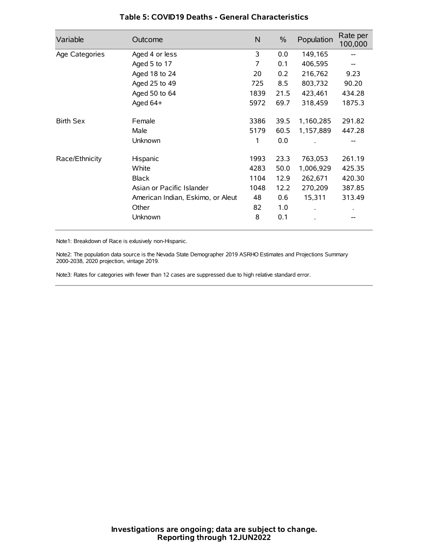| Variable         | Outcome                           | N    | $\%$ | Population | Rate per<br>100,000 |
|------------------|-----------------------------------|------|------|------------|---------------------|
| Age Categories   | Aged 4 or less                    | 3    | 0.0  | 149,165    |                     |
|                  | Aged 5 to 17                      | 7    | 0.1  | 406,595    |                     |
|                  | Aged 18 to 24                     | 20   | 0.2  | 216,762    | 9.23                |
|                  | Aged 25 to 49                     | 725  | 8.5  | 803,732    | 90.20               |
|                  | Aged 50 to 64                     | 1839 | 21.5 | 423,461    | 434.28              |
|                  | Aged $64+$                        | 5972 | 69.7 | 318,459    | 1875.3              |
| <b>Birth Sex</b> | Female                            | 3386 | 39.5 | 1,160,285  | 291.82              |
|                  | Male                              | 5179 | 60.5 | 1,157,889  | 447.28              |
|                  | Unknown                           | 1    | 0.0  |            |                     |
| Race/Ethnicity   | Hispanic                          | 1993 | 23.3 | 763,053    | 261.19              |
|                  | White                             | 4283 | 50.0 | 1,006,929  | 425.35              |
|                  | <b>Black</b>                      | 1104 | 12.9 | 262,671    | 420.30              |
|                  | Asian or Pacific Islander         | 1048 | 12.2 | 270,209    | 387.85              |
|                  | American Indian, Eskimo, or Aleut | 48   | 0.6  | 15,311     | 313.49              |
|                  | Other                             | 82   | 1.0  |            |                     |
|                  | Unknown                           | 8    | 0.1  |            |                     |

## **Table 5: COVID19 Deaths - General Characteristics**

Note1: Breakdown of Race is exlusively non-Hispanic.

Note2: The population data source is the Nevada State Demographer 2019 ASRHO Estimates and Projections Summary 2000-2038, 2020 projection, vintage 2019.

Note3: Rates for categories with fewer than 12 cases are suppressed due to high relative standard error.